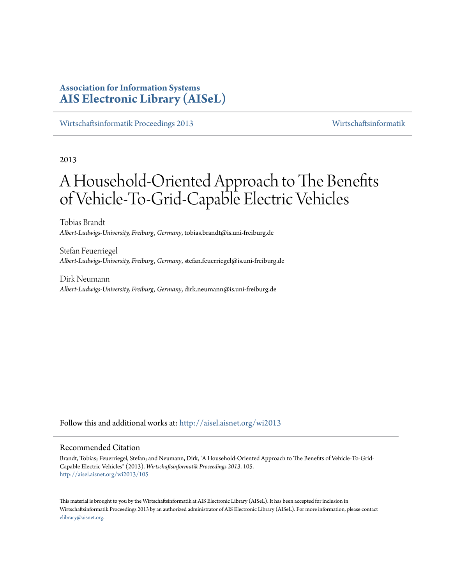# **Association for Information Systems [AIS Electronic Library \(AISeL\)](http://aisel.aisnet.org?utm_source=aisel.aisnet.org%2Fwi2013%2F105&utm_medium=PDF&utm_campaign=PDFCoverPages)**

[Wirtschaftsinformatik Proceedings 2013](http://aisel.aisnet.org/wi2013?utm_source=aisel.aisnet.org%2Fwi2013%2F105&utm_medium=PDF&utm_campaign=PDFCoverPages) [Wirtschaftsinformatik](http://aisel.aisnet.org/wi?utm_source=aisel.aisnet.org%2Fwi2013%2F105&utm_medium=PDF&utm_campaign=PDFCoverPages)

2013

# A Household-Oriented Approach to The Benefits of Vehicle-To-Grid-Capable Electric Vehicles

Tobias Brandt *Albert-Ludwigs-University, Freiburg, Germany*, tobias.brandt@is.uni-freiburg.de

Stefan Feuerriegel *Albert-Ludwigs-University, Freiburg, Germany*, stefan.feuerriegel@is.uni-freiburg.de

Dirk Neumann *Albert-Ludwigs-University, Freiburg, Germany*, dirk.neumann@is.uni-freiburg.de

Follow this and additional works at: [http://aisel.aisnet.org/wi2013](http://aisel.aisnet.org/wi2013?utm_source=aisel.aisnet.org%2Fwi2013%2F105&utm_medium=PDF&utm_campaign=PDFCoverPages)

### Recommended Citation

Brandt, Tobias; Feuerriegel, Stefan; and Neumann, Dirk, "A Household-Oriented Approach to The Benefits of Vehicle-To-Grid-Capable Electric Vehicles" (2013). *Wirtschaftsinformatik Proceedings 2013*. 105. [http://aisel.aisnet.org/wi2013/105](http://aisel.aisnet.org/wi2013/105?utm_source=aisel.aisnet.org%2Fwi2013%2F105&utm_medium=PDF&utm_campaign=PDFCoverPages)

This material is brought to you by the Wirtschaftsinformatik at AIS Electronic Library (AISeL). It has been accepted for inclusion in Wirtschaftsinformatik Proceedings 2013 by an authorized administrator of AIS Electronic Library (AISeL). For more information, please contact [elibrary@aisnet.org.](mailto:elibrary@aisnet.org%3E)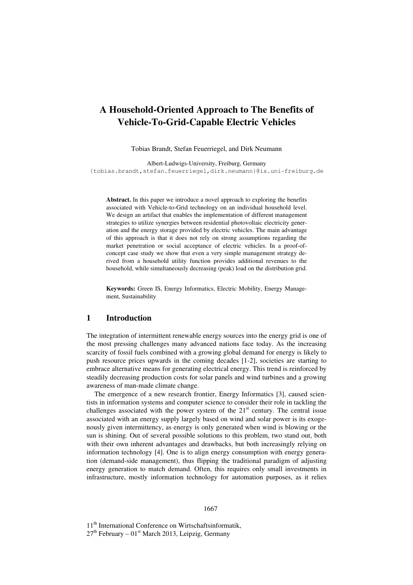# **A Household-Oriented Approach to The Benefits of Vehicle-To-Grid-Capable Electric Vehicles**

Tobias Brandt, Stefan Feuerriegel, and Dirk Neumann

Albert-Ludwigs-University, Freiburg, Germany {tobias.brandt,stefan.feuerriegel,dirk.neumann}@is.uni-freiburg.de

**Abstract.** In this paper we introduce a novel approach to exploring the benefits associated with Vehicle-to-Grid technology on an individual household level. We design an artifact that enables the implementation of different management strategies to utilize synergies between residential photovoltaic electricity generation and the energy storage provided by electric vehicles. The main advantage of this approach is that it does not rely on strong assumptions regarding the market penetration or social acceptance of electric vehicles. In a proof-ofconcept case study we show that even a very simple management strategy derived from a household utility function provides additional revenues to the household, while simultaneously decreasing (peak) load on the distribution grid.

**Keywords:** Green IS, Energy Informatics, Electric Mobility, Energy Management, Sustainability

## **1 Introduction**

The integration of intermittent renewable energy sources into the energy grid is one of the most pressing challenges many advanced nations face today. As the increasing scarcity of fossil fuels combined with a growing global demand for energy is likely to push resource prices upwards in the coming decades [1-2], societies are starting to embrace alternative means for generating electrical energy. This trend is reinforced by steadily decreasing production costs for solar panels and wind turbines and a growing awareness of man-made climate change.

The emergence of a new research frontier, Energy Informatics [3], caused scientists in information systems and computer science to consider their role in tackling the challenges associated with the power system of the  $21<sup>st</sup>$  century. The central issue associated with an energy supply largely based on wind and solar power is its exogenously given intermittency, as energy is only generated when wind is blowing or the sun is shining. Out of several possible solutions to this problem, two stand out, both with their own inherent advantages and drawbacks, but both increasingly relying on information technology [4]. One is to align energy consumption with energy generation (demand-side management), thus flipping the traditional paradigm of adjusting energy generation to match demand. Often, this requires only small investments in infrastructure, mostly information technology for automation purposes, as it relies

#### 1667

11<sup>th</sup> International Conference on Wirtschaftsinformatik,  $27<sup>th</sup>$  February –  $01<sup>st</sup>$  March 2013, Leipzig, Germany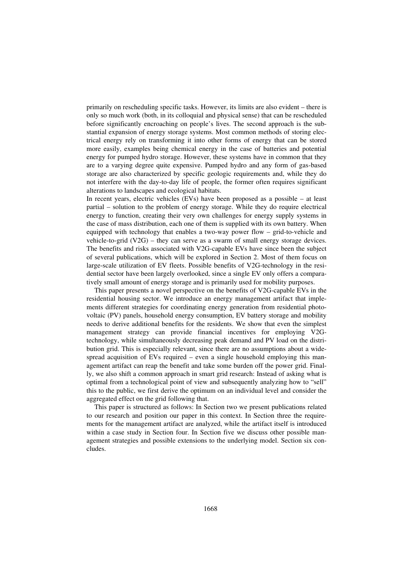primarily on rescheduling specific tasks. However, its limits are also evident – there is only so much work (both, in its colloquial and physical sense) that can be rescheduled before significantly encroaching on people's lives. The second approach is the substantial expansion of energy storage systems. Most common methods of storing electrical energy rely on transforming it into other forms of energy that can be stored more easily, examples being chemical energy in the case of batteries and potential energy for pumped hydro storage. However, these systems have in common that they are to a varying degree quite expensive. Pumped hydro and any form of gas-based storage are also characterized by specific geologic requirements and, while they do not interfere with the day-to-day life of people, the former often requires significant alterations to landscapes and ecological habitats.

In recent years, electric vehicles (EVs) have been proposed as a possible – at least partial – solution to the problem of energy storage. While they do require electrical energy to function, creating their very own challenges for energy supply systems in the case of mass distribution, each one of them is supplied with its own battery. When equipped with technology that enables a two-way power flow – grid-to-vehicle and vehicle-to-grid (V2G) – they can serve as a swarm of small energy storage devices. The benefits and risks associated with V2G-capable EVs have since been the subject of several publications, which will be explored in Section 2. Most of them focus on large-scale utilization of EV fleets. Possible benefits of V2G-technology in the residential sector have been largely overlooked, since a single EV only offers a comparatively small amount of energy storage and is primarily used for mobility purposes.

This paper presents a novel perspective on the benefits of V2G-capable EVs in the residential housing sector. We introduce an energy management artifact that implements different strategies for coordinating energy generation from residential photovoltaic (PV) panels, household energy consumption, EV battery storage and mobility needs to derive additional benefits for the residents. We show that even the simplest management strategy can provide financial incentives for employing V2Gtechnology, while simultaneously decreasing peak demand and PV load on the distribution grid. This is especially relevant, since there are no assumptions about a widespread acquisition of EVs required – even a single household employing this management artifact can reap the benefit and take some burden off the power grid. Finally, we also shift a common approach in smart grid research: Instead of asking what is optimal from a technological point of view and subsequently analyzing how to "sell" this to the public, we first derive the optimum on an individual level and consider the aggregated effect on the grid following that.

This paper is structured as follows: In Section two we present publications related to our research and position our paper in this context. In Section three the requirements for the management artifact are analyzed, while the artifact itself is introduced within a case study in Section four. In Section five we discuss other possible management strategies and possible extensions to the underlying model. Section six concludes.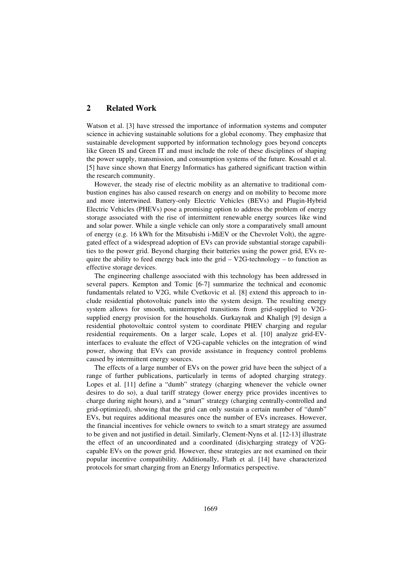# **2 Related Work**

Watson et al. [3] have stressed the importance of information systems and computer science in achieving sustainable solutions for a global economy. They emphasize that sustainable development supported by information technology goes beyond concepts like Green IS and Green IT and must include the role of these disciplines of shaping the power supply, transmission, and consumption systems of the future. Kossahl et al. [5] have since shown that Energy Informatics has gathered significant traction within the research community.

However, the steady rise of electric mobility as an alternative to traditional combustion engines has also caused research on energy and on mobility to become more and more intertwined. Battery-only Electric Vehicles (BEVs) and Plugin-Hybrid Electric Vehicles (PHEVs) pose a promising option to address the problem of energy storage associated with the rise of intermittent renewable energy sources like wind and solar power. While a single vehicle can only store a comparatively small amount of energy (e.g. 16 kWh for the Mitsubishi i-MiEV or the Chevrolet Volt), the aggregated effect of a widespread adoption of EVs can provide substantial storage capabilities to the power grid. Beyond charging their batteries using the power grid, EVs require the ability to feed energy back into the grid  $-$  V2G-technology – to function as effective storage devices.

The engineering challenge associated with this technology has been addressed in several papers. Kempton and Tomic [6-7] summarize the technical and economic fundamentals related to V2G, while Cvetkovic et al. [8] extend this approach to include residential photovoltaic panels into the system design. The resulting energy system allows for smooth, uninterrupted transitions from grid-supplied to V2Gsupplied energy provision for the households. Gurkaynak and Khaligh [9] design a residential photovoltaic control system to coordinate PHEV charging and regular residential requirements. On a larger scale, Lopes et al. [10] analyze grid-EVinterfaces to evaluate the effect of V2G-capable vehicles on the integration of wind power, showing that EVs can provide assistance in frequency control problems caused by intermittent energy sources.

The effects of a large number of EVs on the power grid have been the subject of a range of further publications, particularly in terms of adopted charging strategy. Lopes et al. [11] define a "dumb" strategy (charging whenever the vehicle owner desires to do so), a dual tariff strategy (lower energy price provides incentives to charge during night hours), and a "smart" strategy (charging centrally-controlled and grid-optimized), showing that the grid can only sustain a certain number of "dumb" EVs, but requires additional measures once the number of EVs increases. However, the financial incentives for vehicle owners to switch to a smart strategy are assumed to be given and not justified in detail. Similarly, Clement-Nyns et al. [12-13] illustrate the effect of an uncoordinated and a coordinated (dis)charging strategy of V2Gcapable EVs on the power grid. However, these strategies are not examined on their popular incentive compatibility. Additionally, Flath et al. [14] have characterized protocols for smart charging from an Energy Informatics perspective.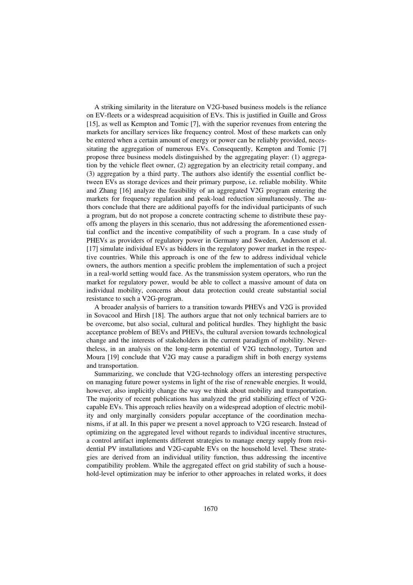A striking similarity in the literature on V2G-based business models is the reliance on EV-fleets or a widespread acquisition of EVs. This is justified in Guille and Gross [15], as well as Kempton and Tomic [7], with the superior revenues from entering the markets for ancillary services like frequency control. Most of these markets can only be entered when a certain amount of energy or power can be reliably provided, necessitating the aggregation of numerous EVs. Consequently, Kempton and Tomic [7] propose three business models distinguished by the aggregating player: (1) aggregation by the vehicle fleet owner, (2) aggregation by an electricity retail company, and (3) aggregation by a third party. The authors also identify the essential conflict between EVs as storage devices and their primary purpose, i.e. reliable mobility. White and Zhang [16] analyze the feasibility of an aggregated V2G program entering the markets for frequency regulation and peak-load reduction simultaneously. The authors conclude that there are additional payoffs for the individual participants of such a program, but do not propose a concrete contracting scheme to distribute these payoffs among the players in this scenario, thus not addressing the aforementioned essential conflict and the incentive compatibility of such a program. In a case study of PHEVs as providers of regulatory power in Germany and Sweden, Andersson et al. [17] simulate individual EVs as bidders in the regulatory power market in the respective countries. While this approach is one of the few to address individual vehicle owners, the authors mention a specific problem the implementation of such a project in a real-world setting would face. As the transmission system operators, who run the market for regulatory power, would be able to collect a massive amount of data on individual mobility, concerns about data protection could create substantial social resistance to such a V2G-program.

A broader analysis of barriers to a transition towards PHEVs and V2G is provided in Sovacool and Hirsh [18]. The authors argue that not only technical barriers are to be overcome, but also social, cultural and political hurdles. They highlight the basic acceptance problem of BEVs and PHEVs, the cultural aversion towards technological change and the interests of stakeholders in the current paradigm of mobility. Nevertheless, in an analysis on the long-term potential of V2G technology, Turton and Moura [19] conclude that V2G may cause a paradigm shift in both energy systems and transportation.

Summarizing, we conclude that V2G-technology offers an interesting perspective on managing future power systems in light of the rise of renewable energies. It would, however, also implicitly change the way we think about mobility and transportation. The majority of recent publications has analyzed the grid stabilizing effect of V2Gcapable EVs. This approach relies heavily on a widespread adoption of electric mobility and only marginally considers popular acceptance of the coordination mechanisms, if at all. In this paper we present a novel approach to V2G research. Instead of optimizing on the aggregated level without regards to individual incentive structures, a control artifact implements different strategies to manage energy supply from residential PV installations and V2G-capable EVs on the household level. These strategies are derived from an individual utility function, thus addressing the incentive compatibility problem. While the aggregated effect on grid stability of such a household-level optimization may be inferior to other approaches in related works, it does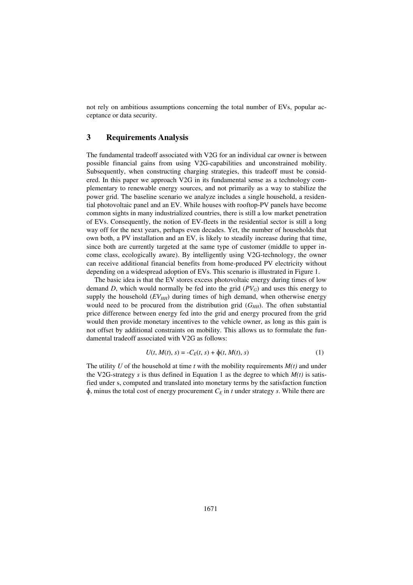not rely on ambitious assumptions concerning the total number of EVs, popular acceptance or data security.

## **3 Requirements Analysis**

The fundamental tradeoff associated with V2G for an individual car owner is between possible financial gains from using V2G-capabilities and unconstrained mobility. Subsequently, when constructing charging strategies, this tradeoff must be considered. In this paper we approach V2G in its fundamental sense as a technology complementary to renewable energy sources, and not primarily as a way to stabilize the power grid. The baseline scenario we analyze includes a single household, a residential photovoltaic panel and an EV. While houses with rooftop-PV panels have become common sights in many industrialized countries, there is still a low market penetration of EVs. Consequently, the notion of EV-fleets in the residential sector is still a long way off for the next years, perhaps even decades. Yet, the number of households that own both, a PV installation and an EV, is likely to steadily increase during that time, since both are currently targeted at the same type of customer (middle to upper income class, ecologically aware). By intelligently using V2G-technology, the owner can receive additional financial benefits from home-produced PV electricity without depending on a widespread adoption of EVs. This scenario is illustrated in Figure 1.

The basic idea is that the EV stores excess photovoltaic energy during times of low demand *D*, which would normally be fed into the grid  $(PV_G)$  and uses this energy to supply the household  $(EV_{HH})$  during times of high demand, when otherwise energy would need to be procured from the distribution grid  $(G<sub>HH</sub>)$ . The often substantial price difference between energy fed into the grid and energy procured from the grid would then provide monetary incentives to the vehicle owner, as long as this gain is not offset by additional constraints on mobility. This allows us to formulate the fundamental tradeoff associated with V2G as follows:

$$
U(t, M(t), s) = -C_E(t, s) + \phi(t, M(t), s)
$$
\n(1)

The utility *U* of the household at time *t* with the mobility requirements  $M(t)$  and under the V2G-strategy *s* is thus defined in Equation 1 as the degree to which  $M(t)$  is satisfied under s, computed and translated into monetary terms by the satisfaction function  $\phi$ , minus the total cost of energy procurement  $C_E$  in *t* under strategy *s*. While there are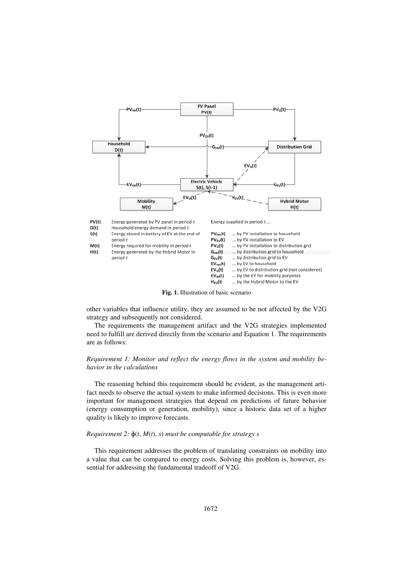

**Fig. 1.** Illustration of basic scenario

other variables that influence utility, they are assumed to be not affected by the V2G strategy and subsequently not considered.

The requirements the management artifact and the V2G strategies implemented need to fulfill are derived directly from the scenario and Equation 1. The requirements are as follows:

#### *Requirement 1: Monitor and reflect the energy flows in the system and mobility behavior in the calculations*

The reasoning behind this requirement should be evident, as the management artifact needs to observe the actual system to make informed decisions. This is even more important for management strategies that depend on predictions of future behavior (energy consumption or generation, mobility), since a historic data set of a higher quality is likely to improve forecasts.

#### *Requirement 2:*  $\phi(t, M(t), s)$  *must be computable for strategy s*

This requirement addresses the problem of translating constraints on mobility into a value that can be compared to energy costs. Solving this problem is, however, essential for addressing the fundamental tradeoff of V2G.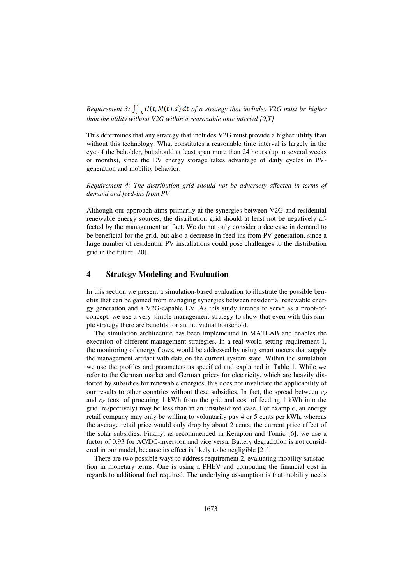*Requirement 3:*  $\int_{t=0}^{T} U(t, M(t), s) dt$  *of a strategy that includes V2G must be higher than the utility without V2G within a reasonable time interval [0,T]* 

This determines that any strategy that includes V2G must provide a higher utility than without this technology. What constitutes a reasonable time interval is largely in the eye of the beholder, but should at least span more than 24 hours (up to several weeks or months), since the EV energy storage takes advantage of daily cycles in PVgeneration and mobility behavior.

*Requirement 4: The distribution grid should not be adversely affected in terms of demand and feed-ins from PV* 

Although our approach aims primarily at the synergies between V2G and residential renewable energy sources, the distribution grid should at least not be negatively affected by the management artifact. We do not only consider a decrease in demand to be beneficial for the grid, but also a decrease in feed-ins from PV generation, since a large number of residential PV installations could pose challenges to the distribution grid in the future [20].

# **4 Strategy Modeling and Evaluation**

In this section we present a simulation-based evaluation to illustrate the possible benefits that can be gained from managing synergies between residential renewable energy generation and a V2G-capable EV. As this study intends to serve as a proof-ofconcept, we use a very simple management strategy to show that even with this simple strategy there are benefits for an individual household.

The simulation architecture has been implemented in MATLAB and enables the execution of different management strategies. In a real-world setting requirement 1, the monitoring of energy flows, would be addressed by using smart meters that supply the management artifact with data on the current system state. Within the simulation we use the profiles and parameters as specified and explained in Table 1. While we refer to the German market and German prices for electricity, which are heavily distorted by subsidies for renewable energies, this does not invalidate the applicability of our results to other countries without these subsidies. In fact, the spread between  $c_P$ and  $c_F$  (cost of procuring 1 kWh from the grid and cost of feeding 1 kWh into the grid, respectively) may be less than in an unsubsidized case. For example, an energy retail company may only be willing to voluntarily pay 4 or 5 cents per kWh, whereas the average retail price would only drop by about 2 cents, the current price effect of the solar subsidies. Finally, as recommended in Kempton and Tomic [6], we use a factor of 0.93 for AC/DC-inversion and vice versa. Battery degradation is not considered in our model, because its effect is likely to be negligible [21].

There are two possible ways to address requirement 2, evaluating mobility satisfaction in monetary terms. One is using a PHEV and computing the financial cost in regards to additional fuel required. The underlying assumption is that mobility needs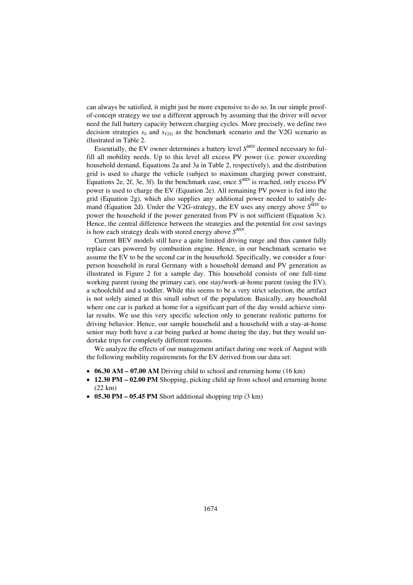can always be satisfied, it might just be more expensive to do so. In our simple proofof-concept strategy we use a different approach by assuming that the driver will never need the full battery capacity between charging cycles. More precisely, we define two decision strategies  $s_0$  and  $s_{V2G}$  as the benchmark scenario and the V2G scenario as illustrated in Table 2.

Essentially, the EV owner determines a battery level *S MIN* deemed necessary to fulfill all mobility needs. Up to this level all excess PV power (i.e. power exceeding household demand, Equations 2a and 3a in Table 2, respectively), and the distribution grid is used to charge the vehicle (subject to maximum charging power constraint, Equations 2e, 2f, 3e, 3f). In the benchmark case, once *S MIN* is reached, only excess PV power is used to charge the EV (Equation 2e). All remaining PV power is fed into the grid (Equation 2g), which also supplies any additional power needed to satisfy demand (Equation 2d). Under the V2G-strategy, the EV uses any energy above *S MIN* to power the household if the power generated from PV is not sufficient (Equation 3c). Hence, the central difference between the strategies and the potential for cost savings is how each strategy deals with stored energy above *S MIN* .

Current BEV models still have a quite limited driving range and thus cannot fully replace cars powered by combustion engine. Hence, in our benchmark scenario we assume the EV to be the second car in the household. Specifically, we consider a fourperson household in rural Germany with a household demand and PV generation as illustrated in Figure 2 for a sample day. This household consists of one full-time working parent (using the primary car), one stay/work-at-home parent (using the EV), a schoolchild and a toddler. While this seems to be a very strict selection, the artifact is not solely aimed at this small subset of the population. Basically, any household where one car is parked at home for a significant part of the day would achieve similar results. We use this very specific selection only to generate realistic patterns for driving behavior. Hence, our sample household and a household with a stay-at-home senior may both have a car being parked at home during the day, but they would undertake trips for completely different reasons.

We analyze the effects of our management artifact during one week of August with the following mobility requirements for the EV derived from our data set:

- **06.30 AM 07.00 AM** Driving child to school and returning home (16 km)
- **12.30 PM 02.00 PM** Shopping, picking child up from school and returning home (22 km)
- **05.30 PM 05.45 PM** Short additional shopping trip (3 km)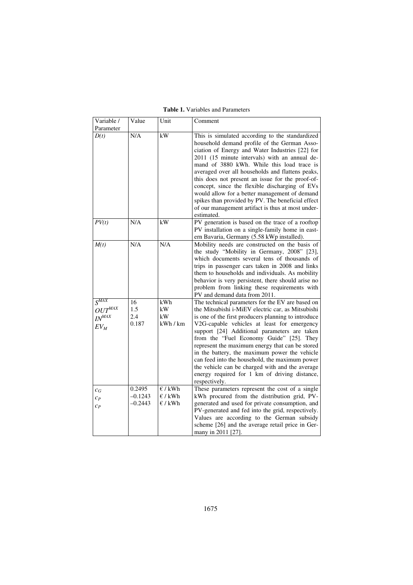| Variable /                                                  | Value                            | Unit                                   | Comment                                                                                                                                                                                                                                                                                                                                                                                                                                                                                                                                                                              |
|-------------------------------------------------------------|----------------------------------|----------------------------------------|--------------------------------------------------------------------------------------------------------------------------------------------------------------------------------------------------------------------------------------------------------------------------------------------------------------------------------------------------------------------------------------------------------------------------------------------------------------------------------------------------------------------------------------------------------------------------------------|
| Parameter<br>D(t)                                           | N/A                              | kW                                     | This is simulated according to the standardized<br>household demand profile of the German Asso-<br>ciation of Energy and Water Industries [22] for<br>2011 (15 minute intervals) with an annual de-<br>mand of 3880 kWh. While this load trace is<br>averaged over all households and flattens peaks,<br>this does not present an issue for the proof-of-<br>concept, since the flexible discharging of EVs<br>would allow for a better management of demand<br>spikes than provided by PV. The beneficial effect<br>of our management artifact is thus at most under-<br>estimated. |
| PV(t)                                                       | N/A                              | kW                                     | PV generation is based on the trace of a rooftop<br>PV installation on a single-family home in east-<br>ern Bavaria, Germany (5.58 kWp installed).                                                                                                                                                                                                                                                                                                                                                                                                                                   |
| M(t)                                                        | N/A                              | N/A                                    | Mobility needs are constructed on the basis of<br>the study "Mobility in Germany, 2008" [23],<br>which documents several tens of thousands of<br>trips in passenger cars taken in 2008 and links<br>them to households and individuals. As mobility<br>behavior is very persistent, there should arise no<br>problem from linking these requirements with<br>PV and demand data from 2011.                                                                                                                                                                                           |
| $S^{\overline{MAX}}$<br>$OUT^{MAX}$<br>$IN^{MAX}$<br>$EV_M$ | 16<br>1.5<br>2.4<br>0.187        | kWh<br>kW<br>kW<br>kWh / km            | The technical parameters for the EV are based on<br>the Mitsubishi i-MiEV electric car, as Mitsubishi<br>is one of the first producers planning to introduce<br>V2G-capable vehicles at least for emergency<br>support [24] Additional parameters are taken<br>from the "Fuel Economy Guide" [25]. They<br>represent the maximum energy that can be stored<br>in the battery, the maximum power the vehicle<br>can feed into the household, the maximum power<br>the vehicle can be charged with and the average<br>energy required for 1 km of driving distance,<br>respectively.   |
| $c_G$<br>$C_{P}$<br>$C_{P}$                                 | 0.2495<br>$-0.1243$<br>$-0.2443$ | E / kWh<br>$\epsilon$ / kWh<br>E / kWh | These parameters represent the cost of a single<br>kWh procured from the distribution grid, PV-<br>generated and used for private consumption, and<br>PV-generated and fed into the grid, respectively.<br>Values are according to the German subsidy<br>scheme [26] and the average retail price in Ger-<br>many in 2011 [27].                                                                                                                                                                                                                                                      |

**Table 1.** Variables and Parameters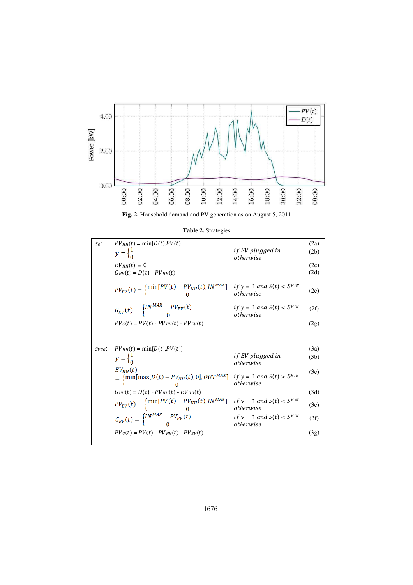

**Fig. 2.** Household demand and PV generation as on August 5, 2011

| $S_0$ :  | $PV_{HH}(t) = min[D(t), PV(t)]$<br>$y = \begin{cases} 1 \\ 0 \end{cases}$                                                                           | <i>if EV plugged in</i><br>otherwise         | (2a)<br>(2b) |
|----------|-----------------------------------------------------------------------------------------------------------------------------------------------------|----------------------------------------------|--------------|
|          | $EV_{HH}(t) = 0$<br>$G_{HH}(t) = D(t) - PV_{HH}(t)$                                                                                                 |                                              | (2c)<br>(2d) |
|          | $PV_{EV}(t) = \begin{cases} \min[PV(t) - PV_{HH}(t), IN^{MAX}] & \text{if } y = 1 \text{ and } S(t) < SM^{MAX} \\ 0 & \text{otherwise} \end{cases}$ |                                              | (2e)         |
|          | $G_{EV}(t) = \begin{cases} IN^{MAX} - PV_{EV}(t) \\ 0 \end{cases}$                                                                                  | if $y = 1$ and $S(t) < S^{MIN}$<br>otherwise | (2f)         |
|          | $PV_{G}(t) = PV(t) - PV_{HH}(t) - PV_{EV}(t)$                                                                                                       |                                              | (2g)         |
|          |                                                                                                                                                     |                                              |              |
|          |                                                                                                                                                     |                                              |              |
| $SV2G$ : | $PV_{HH}(t) = \min[D(t), PV(t)]$                                                                                                                    |                                              | (3a)         |
|          | $y = \begin{cases} 1 \\ 0 \end{cases}$                                                                                                              | <i>if EV plugged in</i><br>otherwise         | (3b)         |
|          | $EV_{HH}(t)$<br>$= \begin{cases} \min[\max[D(t) - PV_{HH}(t), 0], OUT^{MAX}] & if y = 1 \text{ and } S(t) > S^{MIN} \\ 0 & otherwise \end{cases}$   | otherwise                                    | (3c)         |
|          | $G_{HH}(t) = D(t) - PV_{HH}(t) - EV_{HH}(t)$                                                                                                        |                                              | (3d)         |
|          | $PV_{EV}(t) = \begin{cases} \min[PV(t) - PV_{HH}(t), IN^{MAX}] \\ 0 \end{cases}$                                                                    | if $y = 1$ and $S(t) < S^{MAX}$<br>otherwise | (3e)         |
|          | $G_{EV}(t) = \begin{cases} IN^{MAX} - PV_{EV}(t) \\ 0 \end{cases}$                                                                                  | if $y = 1$ and $S(t) < S^{MIN}$<br>otherwise | (3f)         |

**Table 2.** Strategies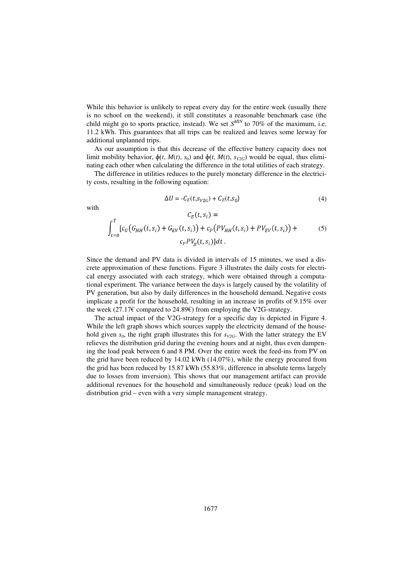While this behavior is unlikely to repeat every day for the entire week (usually there is no school on the weekend), it still constitutes a reasonable benchmark case (the child might go to sports practice, instead). We set  $S^{MIN}$  to 70% of the maximum, i.e. 11.2 kWh. This guarantees that all trips can be realized and leaves some leeway for additional unplanned trips.

As our assumption is that this decrease of the effective battery capacity does not limit mobility behavior,  $\phi(t, M(t), s_0)$  and  $\phi(t, M(t), s_{V2G})$  would be equal, thus eliminating each other when calculating the difference in the total utilities of each strategy.

The difference in utilities reduces to the purely monetary difference in the electricity costs, resulting in the following equation:

$$
\Delta U = -C_E(t, s_{V2G}) + C_E(t, s_0) \tag{4}
$$

with

$$
C_{E}(t, s_{i}) =
$$
  

$$
\int_{t=0}^{T} [c_{G}(G_{HH}(t, s_{i}) + G_{EV}(t, s_{i})) + c_{P}(PV_{HH}(t, s_{i}) + PV_{EV}(t, s_{i})) + c_{F}PV_{G}(t, s_{i})]dt.
$$
 (5)

Since the demand and PV data is divided in intervals of 15 minutes, we used a discrete approximation of these functions. Figure 3 illustrates the daily costs for electrical energy associated with each strategy, which were obtained through a computational experiment. The variance between the days is largely caused by the volatility of PV generation, but also by daily differences in the household demand. Negative costs implicate a profit for the household, resulting in an increase in profits of 9.15% over the week (27.17€ compared to 24.89€) from employing the V2G-strategy.

The actual impact of the V2G-strategy for a specific day is depicted in Figure 4. While the left graph shows which sources supply the electricity demand of the household given  $s_0$ , the right graph illustrates this for  $s_{V2G}$ . With the latter strategy the EV relieves the distribution grid during the evening hours and at night, thus even dampening the load peak between 6 and 8 PM. Over the entire week the feed-ins from PV on the grid have been reduced by 14.02 kWh (14.07%), while the energy procured from the grid has been reduced by 15.87 kWh (55.83%, difference in absolute terms largely due to losses from inversion). This shows that our management artifact can provide additional revenues for the household and simultaneously reduce (peak) load on the distribution grid – even with a very simple management strategy.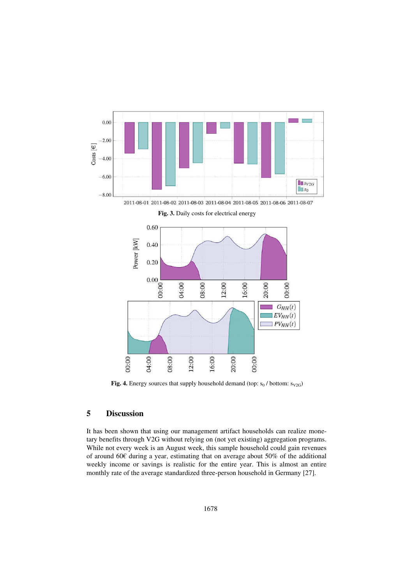

2011-08-01 2011-08-02 2011-08-03 2011-08-04 2011-08-05 2011-08-06 2011-08-07



**Fig. 3.** Daily costs for electrical energy

**Fig. 4.** Energy sources that supply household demand (top:  $s_0$  / bottom:  $s_{V2G}$ )

# **5 Discussion**

It has been shown that using our management artifact households can realize monetary benefits through V2G without relying on (not yet existing) aggregation programs. While not every week is an August week, this sample household could gain revenues of around 60€ during a year, estimating that on average about 50% of the additional weekly income or savings is realistic for the entire year. This is almost an entire monthly rate of the average standardized three-person household in Germany [27].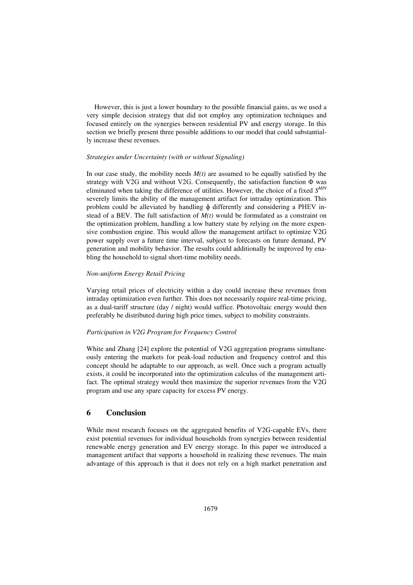However, this is just a lower boundary to the possible financial gains, as we used a very simple decision strategy that did not employ any optimization techniques and focused entirely on the synergies between residential PV and energy storage. In this section we briefly present three possible additions to our model that could substantially increase these revenues.

#### *Strategies under Uncertainty (with or without Signaling)*

In our case study, the mobility needs  $M(t)$  are assumed to be equally satisfied by the strategy with V2G and without V2G. Consequently, the satisfaction function  $\Phi$  was eliminated when taking the difference of utilities. However, the choice of a fixed *S MIN* severely limits the ability of the management artifact for intraday optimization. This problem could be alleviated by handling  $\phi$  differently and considering a PHEV instead of a BEV. The full satisfaction of  $M(t)$  would be formulated as a constraint on the optimization problem, handling a low battery state by relying on the more expensive combustion engine. This would allow the management artifact to optimize V2G power supply over a future time interval, subject to forecasts on future demand, PV generation and mobility behavior. The results could additionally be improved by enabling the household to signal short-time mobility needs.

#### *Non-uniform Energy Retail Pricing*

Varying retail prices of electricity within a day could increase these revenues from intraday optimization even further. This does not necessarily require real-time pricing, as a dual-tariff structure (day / night) would suffice. Photovoltaic energy would then preferably be distributed during high price times, subject to mobility constraints.

#### *Participation in V2G Program for Frequency Control*

White and Zhang [24] explore the potential of V2G aggregation programs simultaneously entering the markets for peak-load reduction and frequency control and this concept should be adaptable to our approach, as well. Once such a program actually exists, it could be incorporated into the optimization calculus of the management artifact. The optimal strategy would then maximize the superior revenues from the V2G program and use any spare capacity for excess PV energy.

# **6 Conclusion**

While most research focuses on the aggregated benefits of V2G-capable EVs, there exist potential revenues for individual households from synergies between residential renewable energy generation and EV energy storage. In this paper we introduced a management artifact that supports a household in realizing these revenues. The main advantage of this approach is that it does not rely on a high market penetration and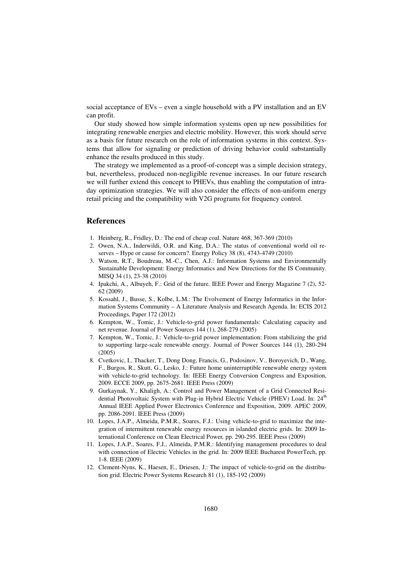social acceptance of EVs – even a single household with a PV installation and an EV can profit.

Our study showed how simple information systems open up new possibilities for integrating renewable energies and electric mobility. However, this work should serve as a basis for future research on the role of information systems in this context. Systems that allow for signaling or prediction of driving behavior could substantially enhance the results produced in this study.

The strategy we implemented as a proof-of-concept was a simple decision strategy, but, nevertheless, produced non-negligible revenue increases. In our future research we will further extend this concept to PHEVs, thus enabling the computation of intraday optimization strategies. We will also consider the effects of non-uniform energy retail pricing and the compatibility with V2G programs for frequency control.

# **References**

- 1. Heinberg, R., Fridley, D.: The end of cheap coal. Nature 468, 367-369 (2010)
- 2. Owen, N.A., Inderwildi, O.R. and King, D.A.: The status of conventional world oil reserves – Hype or cause for concern?. Energy Policy 38 (8), 4743-4749 (2010)
- 3. Watson, R.T., Boudreau, M.-C., Chen, A.J.: Information Systems and Environmentally Sustainable Development: Energy Informatics and New Directions for the IS Community. MISQ 34 (1), 23-38 (2010)
- 4. Ipakchi, A., Albuyeh, F.: Grid of the future. IEEE Power and Energy Magazine 7 (2), 52- 62 (2009)
- 5. Kossahl, J., Busse, S., Kolbe, L.M.: The Evolvement of Energy Informatics in the Information Systems Community – A Literature Analysis and Research Agenda. In: ECIS 2012 Proceedings, Paper 172 (2012)
- 6. Kempton, W., Tomic, J.: Vehicle-to-grid power fundamentals: Calculating capacity and net revenue. Journal of Power Sources 144 (1), 268-279 (2005)
- 7. Kempton, W., Tomic, J.: Vehicle-to-grid power implementation: From stabilizing the grid to supporting large-scale renewable energy. Journal of Power Sources 144 (1), 280-294 (2005)
- 8. Cvetkovic, I., Thacker, T., Dong Dong, Francis, G., Podosinov, V., Boroyevich, D., Wang, F., Burgos, R., Skutt, G., Lesko, J.: Future home uninterruptible renewable energy system with vehicle-to-grid technology. In: IEEE Energy Conversion Congress and Exposition, 2009. ECCE 2009, pp. 2675-2681. IEEE Press (2009)
- 9. Gurkaynak, Y., Khaligh, A.: Control and Power Management of a Grid Connected Residential Photovoltaic System with Plug-in Hybrid Electric Vehicle (PHEV) Load. In: 24<sup>th</sup> Annual IEEE Applied Power Electronics Conference and Exposition, 2009. APEC 2009, pp. 2086-2091. IEEE Press (2009)
- 10. Lopes, J.A.P., Almeida, P.M.R., Soares, F.J.: Using vehicle-to-grid to maximize the integration of intermittent renewable energy resources in islanded electric grids. In: 2009 International Conference on Clean Electrical Power*,* pp. 290-295. IEEE Press (2009)
- 11. Lopes, J.A.P., Soares, F.J., Almeida, P.M.R.: Identifying management procedures to deal with connection of Electric Vehicles in the grid. In: 2009 IEEE Bucharest PowerTech, pp. 1-8. IEEE (2009)
- 12. Clement-Nyns, K., Haesen, E., Driesen, J.: The impact of vehicle-to-grid on the distribution grid. Electric Power Systems Research 81 (1), 185-192 (2009)